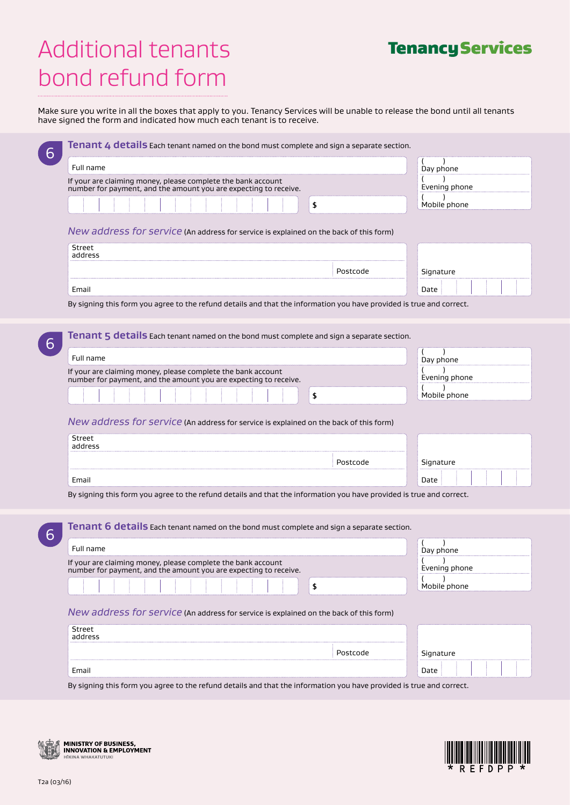# Additional tenants bond refund form

| <b>Tenancy Services</b> |
|-------------------------|
|                         |

Make sure you write in all the boxes that apply to you. Tenancy Services will be unable to release the bond until all tenants have signed the form and indicated how much each tenant is to receive.

| Full name                                                                                                                        | Day phone     |
|----------------------------------------------------------------------------------------------------------------------------------|---------------|
| If your are claiming money, please complete the bank account<br>number for payment, and the amount you are expecting to receive. | Evening phone |
| $\sqrt{2}$                                                                                                                       | Mobile phone  |
|                                                                                                                                  |               |
| New address for service (An address for service is explained on the back of this form)                                           |               |
| <b>Street</b><br>address                                                                                                         |               |
| Postcode                                                                                                                         | Signature     |
| Email                                                                                                                            | Date          |
| By signing this form you agree to the refund details and that the information you have provided is true and correct.             |               |
|                                                                                                                                  |               |
|                                                                                                                                  |               |
| <b>Tenant 5 details</b> Each tenant named on the bond must complete and sign a separate section.                                 |               |
| Full name                                                                                                                        | Day phone     |
| If your are claiming money, please complete the bank account<br>number for payment, and the amount you are expecting to receive. | Evening phone |
|                                                                                                                                  |               |
| \$                                                                                                                               | Mobile phone  |
| New address for service (An address for service is explained on the back of this form)<br>Street                                 |               |
| address                                                                                                                          |               |
| Postcode                                                                                                                         | Signature     |
| Email                                                                                                                            | Date          |
| By signing this form you agree to the refund details and that the information you have provided is true and correct.             |               |
|                                                                                                                                  |               |
| Tenant 6 details Each tenant named on the bond must complete and sign a separate section.                                        |               |
|                                                                                                                                  |               |
| Full name                                                                                                                        | Day phone     |
| If your are claiming money, please complete the bank account                                                                     | Evening phone |
| number for payment, and the amount you are expecting to receive.                                                                 | Mobile phone  |
| \$                                                                                                                               |               |
|                                                                                                                                  |               |
| New address for service (An address for service is explained on the back of this form)                                           |               |
| <b>Street</b>                                                                                                                    |               |
| address                                                                                                                          |               |
| Postcode                                                                                                                         | Signature     |